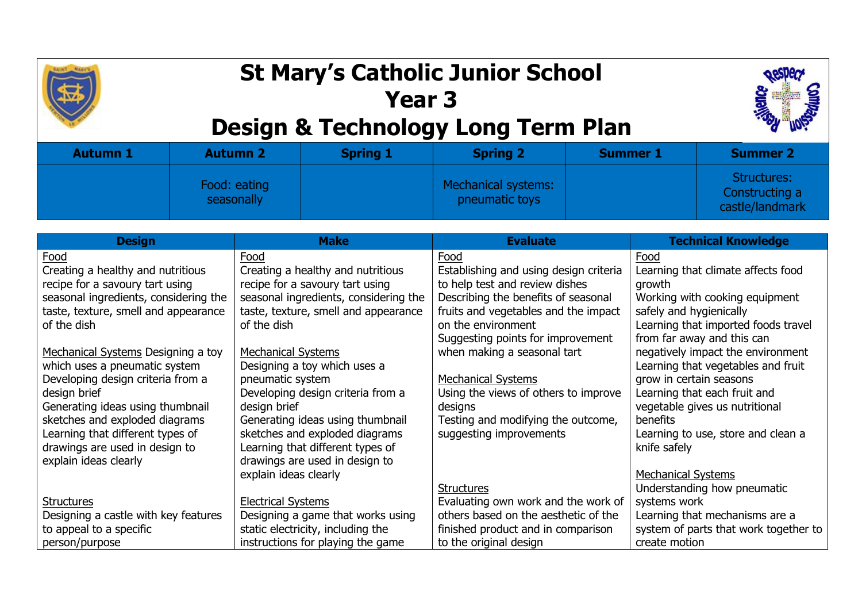## **St Mary's Catholic Junior School Year 3**



## **Design & Technology Long Term Plan**

| Autumn 1 | <b>Autumn 2</b>            | <b>Spring 1</b> | <b>Spring 2</b>                       | <b>Summer 1</b> | <b>Summer 2</b>                                  |
|----------|----------------------------|-----------------|---------------------------------------|-----------------|--------------------------------------------------|
|          | Food: eating<br>seasonally |                 | Mechanical systems:<br>pneumatic toys |                 | Structures:<br>Constructing a<br>castle/landmark |

| <b>Design</b>                         | <b>Make</b>                           | <b>Evaluate</b>                        | <b>Technical Knowledge</b>            |
|---------------------------------------|---------------------------------------|----------------------------------------|---------------------------------------|
| Food                                  | Food                                  | Food                                   | Food                                  |
| Creating a healthy and nutritious     | Creating a healthy and nutritious     | Establishing and using design criteria | Learning that climate affects food    |
| recipe for a savoury tart using       | recipe for a savoury tart using       | to help test and review dishes         | growth                                |
| seasonal ingredients, considering the | seasonal ingredients, considering the | Describing the benefits of seasonal    | Working with cooking equipment        |
| taste, texture, smell and appearance  | taste, texture, smell and appearance  | fruits and vegetables and the impact   | safely and hygienically               |
| of the dish                           | of the dish                           | on the environment                     | Learning that imported foods travel   |
|                                       |                                       | Suggesting points for improvement      | from far away and this can            |
| Mechanical Systems Designing a toy    | <b>Mechanical Systems</b>             | when making a seasonal tart            | negatively impact the environment     |
| which uses a pneumatic system         | Designing a toy which uses a          |                                        | Learning that vegetables and fruit    |
| Developing design criteria from a     | pneumatic system                      | <b>Mechanical Systems</b>              | grow in certain seasons               |
| design brief                          | Developing design criteria from a     | Using the views of others to improve   | Learning that each fruit and          |
| Generating ideas using thumbnail      | design brief                          | designs                                | vegetable gives us nutritional        |
| sketches and exploded diagrams        | Generating ideas using thumbnail      | Testing and modifying the outcome,     | benefits                              |
| Learning that different types of      | sketches and exploded diagrams        | suggesting improvements                | Learning to use, store and clean a    |
| drawings are used in design to        | Learning that different types of      |                                        | knife safely                          |
| explain ideas clearly                 | drawings are used in design to        |                                        |                                       |
|                                       | explain ideas clearly                 |                                        | <b>Mechanical Systems</b>             |
|                                       |                                       | <b>Structures</b>                      | Understanding how pneumatic           |
| Structures                            | <b>Electrical Systems</b>             | Evaluating own work and the work of    | systems work                          |
| Designing a castle with key features  | Designing a game that works using     | others based on the aesthetic of the   | Learning that mechanisms are a        |
| to appeal to a specific               | static electricity, including the     | finished product and in comparison     | system of parts that work together to |
| person/purpose                        | instructions for playing the game     | to the original design                 | create motion                         |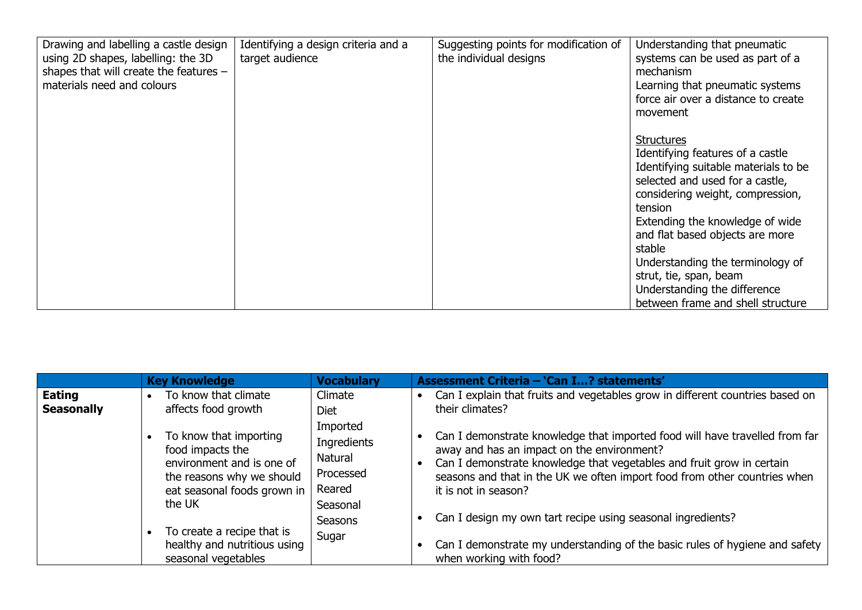| Drawing and labelling a castle design<br>using 2D shapes, labelling: the 3D<br>shapes that will create the features -<br>materials need and colours | Identifying a design criteria and a<br>target audience | Suggesting points for modification of<br>the individual designs | Understanding that pneumatic<br>systems can be used as part of a<br>mechanism<br>Learning that pneumatic systems<br>force air over a distance to create<br>movement                                                                                                                                                                                                                                |
|-----------------------------------------------------------------------------------------------------------------------------------------------------|--------------------------------------------------------|-----------------------------------------------------------------|----------------------------------------------------------------------------------------------------------------------------------------------------------------------------------------------------------------------------------------------------------------------------------------------------------------------------------------------------------------------------------------------------|
|                                                                                                                                                     |                                                        |                                                                 | <b>Structures</b><br>Identifying features of a castle<br>Identifying suitable materials to be<br>selected and used for a castle,<br>considering weight, compression,<br>tension<br>Extending the knowledge of wide<br>and flat based objects are more<br>stable<br>Understanding the terminology of<br>strut, tie, span, beam<br>Understanding the difference<br>between frame and shell structure |

|                             | <b>Key Knowledge</b>                                                                                                                          | <b>Vocabulary</b>                                                            | Assessment Criteria - 'Can I? statements'                                                                                                                                                                                                                                                               |
|-----------------------------|-----------------------------------------------------------------------------------------------------------------------------------------------|------------------------------------------------------------------------------|---------------------------------------------------------------------------------------------------------------------------------------------------------------------------------------------------------------------------------------------------------------------------------------------------------|
| Eating<br><b>Seasonally</b> | To know that climate<br>affects food growth                                                                                                   | Climate<br><b>Diet</b>                                                       | Can I explain that fruits and vegetables grow in different countries based on<br>their climates?                                                                                                                                                                                                        |
|                             | To know that importing<br>food impacts the<br>environment and is one of<br>the reasons why we should<br>eat seasonal foods grown in<br>the UK | Imported<br>Ingredients<br><b>Natural</b><br>Processed<br>Reared<br>Seasonal | Can I demonstrate knowledge that imported food will have travelled from far<br>away and has an impact on the environment?<br>Can I demonstrate knowledge that vegetables and fruit grow in certain<br>seasons and that in the UK we often import food from other countries when<br>it is not in season? |
|                             | To create a recipe that is<br>healthy and nutritious using<br>seasonal vegetables                                                             | Seasons<br>Sugar                                                             | Can I design my own tart recipe using seasonal ingredients?<br>Can I demonstrate my understanding of the basic rules of hygiene and safety<br>when working with food?                                                                                                                                   |